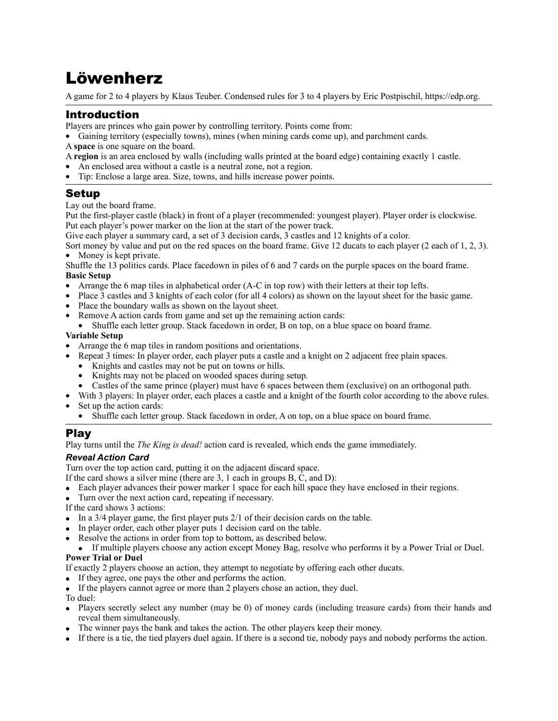# Löwenherz

A game for 2 to 4 players by Klaus Teuber. Condensed rules for 3 to 4 players by Eric Postpischil, <https://edp.org>.

## Introduction

Players are princes who gain power by controlling territory. Points come from:

• Gaining territory (especially towns), mines (when mining cards come up), and parchment cards.

A **space** is one square on the board.

A **region** is an area enclosed by walls (including walls printed at the board edge) containing exactly 1 castle.

- An enclosed area without a castle is a neutral zone, not a region.
- Tip: Enclose a large area. Size, towns, and hills increase power points.

### Setup

Lay out the board frame.

Put the first-player castle (black) in front of a player (recommended: youngest player). Player order is clockwise. Put each player's power marker on the lion at the start of the power track.

Give each player a summary card, a set of 3 decision cards, 3 castles and 12 knights of a color.

Sort money by value and put on the red spaces on the board frame. Give 12 ducats to each player (2 each of 1, 2, 3). • Money is kept private.

Shuffle the 13 politics cards. Place facedown in piles of 6 and 7 cards on the purple spaces on the board frame. **Basic Setup** 

- Arrange the 6 map tiles in alphabetical order (A-C in top row) with their letters at their top lefts.
- Place 3 castles and 3 knights of each color (for all 4 colors) as shown on the layout sheet for the basic game.
- Place the boundary walls as shown on the layout sheet.
- Remove A action cards from game and set up the remaining action cards:
- Shuffle each letter group. Stack facedown in order, B on top, on a blue space on board frame.

#### **Variable Setup**

- Arrange the 6 map tiles in random positions and orientations.
	- Repeat 3 times: In player order, each player puts a castle and a knight on 2 adjacent free plain spaces.
		- Knights and castles may not be put on towns or hills.
		- Knights may not be placed on wooded spaces during setup.
	- Castles of the same prince (player) must have 6 spaces between them (exclusive) on an orthogonal path.
- With 3 players: In player order, each places a castle and a knight of the fourth color according to the above rules.
- Set up the action cards:
	- Shuffle each letter group. Stack facedown in order, A on top, on a blue space on board frame.

### Play

Play turns until the *The King is dead!* action card is revealed, which ends the game immediately.

### *Reveal Action Card*

Turn over the top action card, putting it on the adjacent discard space.

- If the card shows a silver mine (there are 3, 1 each in groups B, C, and D):
- Each player advances their power marker 1 space for each hill space they have enclosed in their regions.
- Turn over the next action card, repeating if necessary.

If the card shows 3 actions:

- In a 3/4 player game, the first player puts 2/1 of their decision cards on the table.
- In player order, each other player puts 1 decision card on the table.
- Resolve the actions in order from top to bottom, as described below.
- If multiple players choose any action except Money Bag, resolve who performs it by a Power Trial or Duel. **Power Trial or Duel**

#### If exactly 2 players choose an action, they attempt to negotiate by offering each other ducats.

- If they agree, one pays the other and performs the action.
- If the players cannot agree or more than 2 players chose an action, they duel.

#### To duel:

- Players secretly select any number (may be 0) of money cards (including treasure cards) from their hands and reveal them simultaneously.
- The winner pays the bank and takes the action. The other players keep their money.
- If there is a tie, the tied players duel again. If there is a second tie, nobody pays and nobody performs the action.